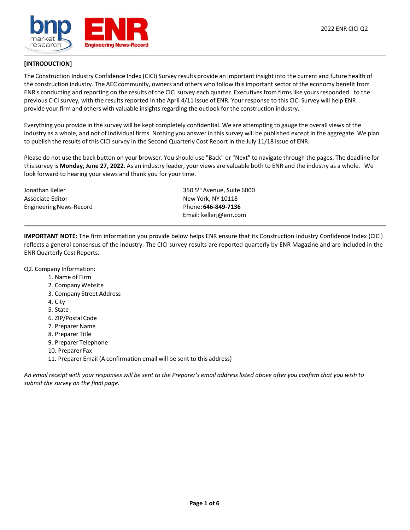

### **[INTRODUCTION]**

The Construction Industry Confidence Index (CICI) Survey results provide an important insight into the current and future health of the construction industry. The AEC community, owners and others who follow thisimportant sector of the economy benefit from ENR's conducting and reporting on the results of the CICI survey each quarter. Executivesfrom firms like yoursresponded to the previous CICI survey, with the results reported in the April 4/11 issue of ENR. Your response to this CICI Survey will help ENR provide your firm and others with valuable insights regarding the outlook for the construction industry.

Everything you provide in the survey will be kept completely confidential. We are attempting to gauge the overall views of the industry as a whole, and not of individual firms. Nothing you answer in this survey will be published except in the aggregate. We plan to publish the results of this CICI survey in the Second Quarterly Cost Report in the July 11/18 issue of ENR.

Please do not use the back button on your browser. You should use "Back" or "Next" to navigate through the pages. The deadline for thissurvey is **Monday, June 27, 2022**. As an industry leader, your views are valuable both to ENR and the industry as a whole. We look forward to hearing your views and thank you for your time.

Jonathan Keller Associate Editor EngineeringNews-Record 350 5th Avenue, Suite 6000 New York, NY 10118 Phone: **646-849-7136** Email: kellerj@enr.com

**IMPORTANT NOTE:** The firm information you provide below helps ENR ensure that its Construction Industry Confidence Index (CICI) reflects a general consensus of the industry. The CICI survey results are reported quarterly by ENR Magazine and are included in the ENR Quarterly Cost Reports.

Q2. Company Information:

- 1. Name of Firm
- 2. Company Website
- 3. Company Street Address
- 4. City
- 5. State
- 6. ZIP/Postal Code
- 7. Preparer Name
- 8. Preparer Title
- 9. Preparer Telephone
- 10. Preparer Fax
- 11. Preparer Email (A confirmation email will be sent to this address)

An email receipt with your responses will be sent to the Preparer's email address listed above after you confirm that you wish to *submit the survey on the final page.*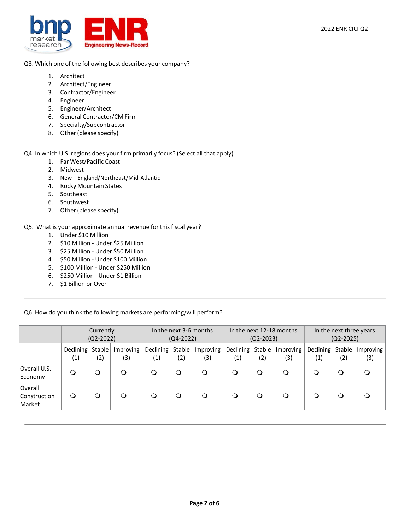

Q3. Which one of the following best describes your company?

- 1. Architect
- 2. Architect/Engineer
- 3. Contractor/Engineer
- 4. Engineer
- 5. Engineer/Architect
- 6. General Contractor/CM Firm
- 7. Specialty/Subcontractor
- 8. Other (please specify)

Q4. In which U.S. regions does your firm primarily focus? (Select all that apply)

- 1. Far West/Pacific Coast
- 2. Midwest
- 3. New England/Northeast/Mid-Atlantic
- 4. Rocky Mountain States
- 5. Southeast
- 6. Southwest
- 7. Other (please specify)

#### Q5. What is your approximate annual revenue for this fiscal year?

- 1. Under \$10 Million
- 2. \$10 Million Under \$25 Million
- 3. \$25 Million Under \$50 Million
- 4. \$50 Million Under \$100 Million
- 5. \$100 Million Under \$250 Million
- 6. \$250 Million Under \$1 Billion
- 7. \$1 Billion or Over

Q6. How do you think the following markets are performing/will perform?

|                                   | Currently              |          |           | In the next 3-6 months |         |           | In the next 12-18 months |        |           | In the next three years |          |           |
|-----------------------------------|------------------------|----------|-----------|------------------------|---------|-----------|--------------------------|--------|-----------|-------------------------|----------|-----------|
|                                   | $(Q2-2022)$            |          |           | $(Q4-2022)$            |         |           | $(Q2 - 2023)$            |        |           | $(Q2 - 2025)$           |          |           |
|                                   | Declining <sup>1</sup> | Stable   | Improving | Declining              | Stable  | Improving | Declining <sup>1</sup>   | Stable | Improving | Declining               | Stable   | Improving |
|                                   | (1)                    | (2)      | (3)       | (1)                    | (2)     | (3)       | (1)                      | (2)    | (3)       | (1)                     | (2)      | (3)       |
| Overall U.S.<br>Economy           | $\Omega$               | $\Omega$ | O         | $\Omega$               | $\circ$ | $\Omega$  | $\circ$                  | O      | $\Omega$  | O                       | $\circ$  | $\Omega$  |
| Overall<br>Construction<br>Market | O                      | O        | Q         | $\Omega$               | $\circ$ | $\Omega$  | $\circ$                  | ၪ      | Q         | $\Omega$                | $\Omega$ |           |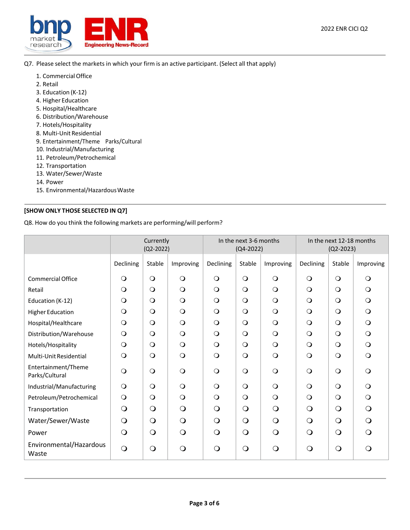

Q7. Please select the markets in which your firm is an active participant. (Select all that apply)

- 1. Commercial Office
- 2. Retail
- 3. Education (K-12)
- 4. Higher Education
- 5. Hospital/Healthcare
- 6. Distribution/Warehouse
- 7. Hotels/Hospitality
- 8. Multi-Unit Residential
- 9. Entertainment/Theme Parks/Cultural
- 10. Industrial/Manufacturing
- 11. Petroleum/Petrochemical
- 12. Transportation
- 13. Water/Sewer/Waste
- 14. Power
- 15. Environmental/HazardousWaste

#### **[SHOW ONLY THOSE SELECTED IN Q7]**

Q8. How do you think the following markets are performing/will perform?

|                                       |            | Currently<br>$(Q2-2022)$ |            |            | In the next 3-6 months<br>$(Q4 - 2022)$ |              | In the next 12-18 months<br>$(Q2 - 2023)$ |            |            |  |
|---------------------------------------|------------|--------------------------|------------|------------|-----------------------------------------|--------------|-------------------------------------------|------------|------------|--|
|                                       | Declining  | Stable                   | Improving  | Declining  | Stable                                  | Improving    | Declining                                 | Stable     | Improving  |  |
| <b>Commercial Office</b>              | $\circ$    | $\circ$                  | $\bigcirc$ | $\circ$    | $\circ$                                 | $\circ$      | $\circ$                                   | $\bigcirc$ | $\circ$    |  |
| Retail                                | $\circ$    | $\circ$                  | $\circ$    | $\circ$    | $\bigcirc$                              | $\circ$      | $\circ$                                   | $\bigcirc$ | $\circ$    |  |
| Education (K-12)                      | $\circ$    | $\circ$                  | $\circ$    | $\circ$    | $\circ$                                 | $\circ$      | $\circ$                                   | $\bigcirc$ | $\circ$    |  |
| <b>Higher Education</b>               | $\circ$    | $\circ$                  | $\circ$    | $\circ$    | $\circ$                                 | $\circ$      | $\circ$                                   | $\bigcirc$ | $\circ$    |  |
| Hospital/Healthcare                   | $\circ$    | $\circ$                  | $\circ$    | $\circ$    | $\circ$                                 | $\circ$      | $\circ$                                   | $\bigcirc$ | $\bigcirc$ |  |
| Distribution/Warehouse                | $\circ$    | $\circ$                  | $\circ$    | $\bigcirc$ | $\bigcirc$                              | $\bigcirc$   | $\circ$                                   | $\bigcirc$ | $\circ$    |  |
| Hotels/Hospitality                    | $\circ$    | $\circ$                  | $\circ$    | $\circ$    | $\circ$                                 | $\Omega$     | $\Omega$                                  | $\bigcirc$ | $\circ$    |  |
| Multi-Unit Residential                | $\circ$    | $\bigcirc$               | $\circ$    | $\circ$    | $\bigcirc$                              | $\circ$      | $\circ$                                   | $\bigcirc$ | $\circ$    |  |
| Entertainment/Theme<br>Parks/Cultural | $\circ$    | $\bigcirc$               | $\circ$    | $\Omega$   | $\bigcirc$                              | $\circ$      | $\Omega$                                  | $\bigcirc$ | $\circ$    |  |
| Industrial/Manufacturing              | $\circ$    | $\circ$                  | $\circ$    | $\circ$    | $\circ$                                 | $\circ$      | $\circ$                                   | $\circ$    | $\circ$    |  |
| Petroleum/Petrochemical               | $\circ$    | $\circ$                  | $\circ$    | $\circ$    | $\circ$                                 | $\circ$      | $\circ$                                   | $\circ$    | $\circ$    |  |
| Transportation                        | $\Omega$   | $\bigcirc$               | $\Omega$   | $\Omega$   | $\bigcirc$                              | $\Omega$     | $\circ$                                   | $\bigcirc$ | $\Omega$   |  |
| Water/Sewer/Waste                     | $\Omega$   | $\bigcirc$               | $\Omega$   | $\circ$    | $\bigcirc$                              | $\bigcirc$   | $\Omega$                                  | $\bigcirc$ | $\Omega$   |  |
| Power                                 | $\Omega$   | $\bigcirc$               | $\circ$    | $\circ$    | $\bigcirc$                              | $\bigcirc$   | $\Omega$                                  | $\bigcirc$ | $\Omega$   |  |
| Environmental/Hazardous<br>Waste      | $\bigcirc$ | $\bigcirc$               | $\bigcirc$ | $\bigcirc$ | $\bigcirc$                              | $\mathsf{O}$ | $\Omega$                                  | $\bigcirc$ | $\Omega$   |  |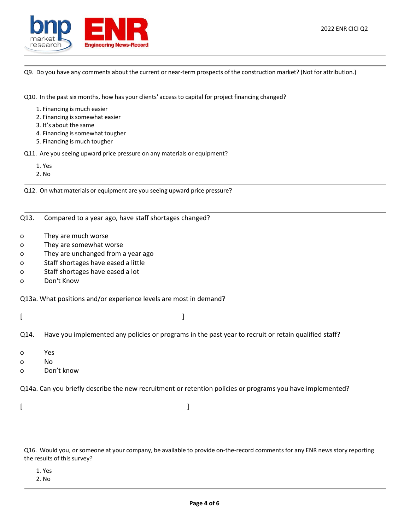

Q9. Do you have any comments about the current or near-term prospects of the construction market? (Not for attribution.)

Q10. In the past six months, how has your clients' access to capital for project financing changed?

- 1. Financing is much easier
- 2. Financing is somewhat easier
- 3. It's about the same
- 4. Financing is somewhat tougher
- 5. Financing is much tougher

Q11. Are you seeing upward price pressure on any materials or equipment?

- 1. Yes
- 2. No

Q12. On what materials or equipment are you seeing upward price pressure?

Q13. Compared to a year ago, have staff shortages changed?

- o They are much worse
- o They are somewhat worse
- o They are unchanged from a year ago
- o Staff shortages have eased a little
- o Staff shortages have eased a lot
- o Don't Know

Q13a. What positions and/or experience levels are most in demand?

 $[$   $]$ 

- Q14. Have you implemented any policies or programs in the past year to recruit or retain qualified staff?
- o Yes
- o No
- o Don't know

Q14a. Can you briefly describe the new recruitment or retention policies or programs you have implemented?

 $[$   $]$ 

Q16. Would you, or someone at your company, be available to provide on-the-record comments for any ENR news story reporting the results of this survey?

1. Yes

2. No